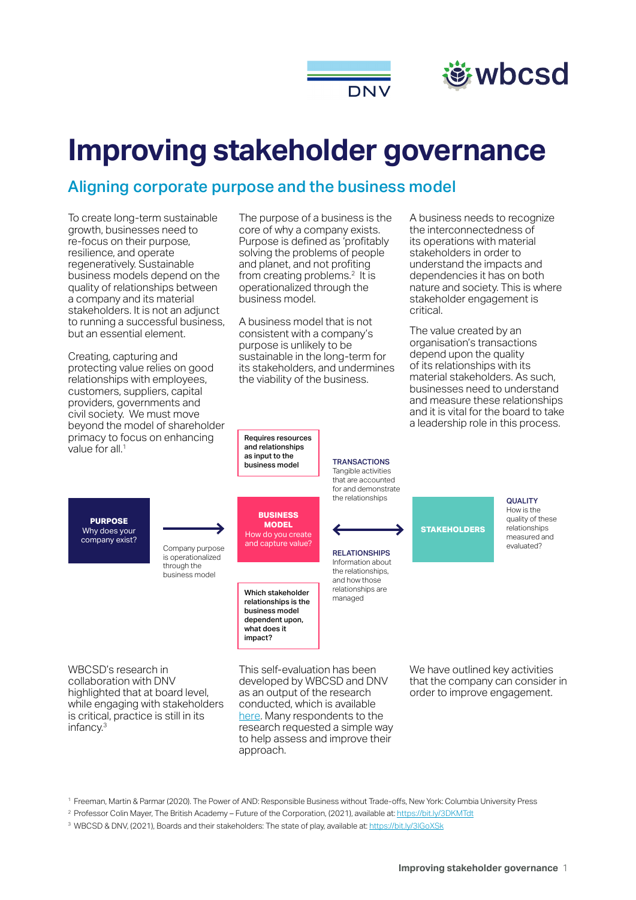

# *等wbcsd*

# **Improving stakeholder governance**

## Aligning corporate purpose and the business model

To create long-term sustainable growth, businesses need to re-focus on their purpose, resilience, and operate regeneratively. Sustainable business models depend on the quality of relationships between a company and its material stakeholders. It is not an adjunct to running a successful business, but an essential element.

Creating, capturing and protecting value relies on good relationships with employees, customers, suppliers, capital providers, governments and civil society. We must move beyond the model of shareholder primacy to focus on enhancing value for all.<sup>1</sup>

The purpose of a business is the core of why a company exists. Purpose is defined as 'profitably solving the problems of people and planet, and not profiting from creating problems.<sup>2</sup> It is operationalized through the business model.

A business model that is not consistent with a company's purpose is unlikely to be sustainable in the long-term for its stakeholders, and undermines the viability of the business.

> **TRANSACTIONS** Tangible activities that are accounted for and demonstrate the relationships

RELATIONSHIPS Information about the relationships, and how those relationships are managed

A business needs to recognize the interconnectedness of its operations with material stakeholders in order to understand the impacts and dependencies it has on both nature and society. This is where stakeholder engagement is critical.

The value created by an organisation's transactions depend upon the quality of its relationships with its material stakeholders. As such, businesses need to understand and measure these relationships and it is vital for the board to take a leadership role in this process.

**PURPOSE** Why does your company exist?

Company purpose is operationalized through the

business model

**BUSINESS MODEL** How do you create and capture value?

> Which stakeholder relationships is the business model dependent upon, what does it impact?

Requires resources and relationships as input to the business model

WBCSD's research in collaboration with DNV highlighted that at board level, while engaging with stakeholders is critical, practice is still in its infancy.3

This self-evaluation has been developed by WBCSD and DNV as an output of the research conducted, which is available [here.](https://www.wbcsd.org/Programs/Redefining-Value/Making-stakeholder-capitalism-actionable/Governance-and-Internal-Oversight/Resources/Boards-and-their-stakeholders-The-state-of-play) Many respondents to the research requested a simple way to help assess and improve their approach.

**STAKEHOLDERS**

How is the quality of these relationships measured and evaluated?

QUALITY

We have outlined key activities that the company can consider in order to improve engagement.

2 Professor Colin Mayer, The British Academy – Future of the Corporation, (2021), available at: <https://bit.ly/3DKMTdt>

<sup>3</sup> WBCSD & DNV, (2021), Boards and their stakeholders: The state of play, available at: https://bit.ly/3lGoXSk

<sup>1</sup> Freeman, Martin & Parmar (2020). The Power of AND: Responsible Business without Trade-offs, New York: Columbia University Press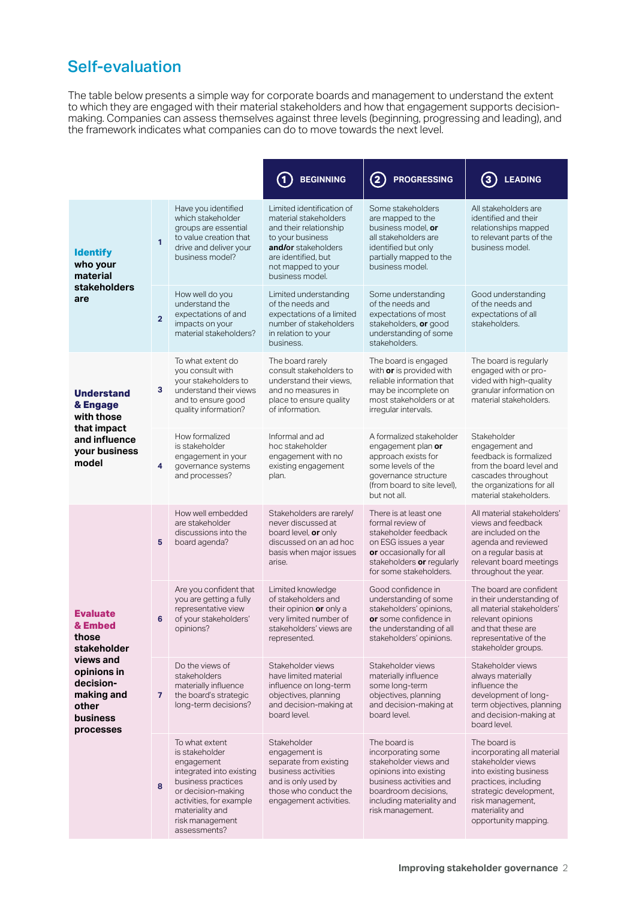## Self-evaluation

The table below presents a simple way for corporate boards and management to understand the extent to which they are engaged with their material stakeholders and how that engagement supports decisionmaking. Companies can assess themselves against three levels (beginning, progressing and leading), and the framework indicates what companies can do to move towards the next level.

|                                                                                                       |                |                                                                                                                                                                                                         | 1<br><b>BEGINNING</b>                                                                                                                                                                   | $\bf(2)$<br><b>PROGRESSING</b>                                                                                                                                                            | <b>LEADING</b><br>(3                                                                                                                                                                                       |
|-------------------------------------------------------------------------------------------------------|----------------|---------------------------------------------------------------------------------------------------------------------------------------------------------------------------------------------------------|-----------------------------------------------------------------------------------------------------------------------------------------------------------------------------------------|-------------------------------------------------------------------------------------------------------------------------------------------------------------------------------------------|------------------------------------------------------------------------------------------------------------------------------------------------------------------------------------------------------------|
| <b>Identify</b><br>who your<br>material<br>stakeholders<br>are                                        | $\mathbf{1}$   | Have you identified<br>which stakeholder<br>groups are essential<br>to value creation that<br>drive and deliver your<br>business model?                                                                 | Limited identification of<br>material stakeholders<br>and their relationship<br>to your business<br>and/or stakeholders<br>are identified, but<br>not mapped to your<br>business model. | Some stakeholders<br>are mapped to the<br>business model, or<br>all stakeholders are<br>identified but only<br>partially mapped to the<br>business model.                                 | All stakeholders are<br>identified and their<br>relationships mapped<br>to relevant parts of the<br>business model.                                                                                        |
|                                                                                                       | $\overline{2}$ | How well do you<br>understand the<br>expectations of and<br>impacts on your<br>material stakeholders?                                                                                                   | Limited understanding<br>of the needs and<br>expectations of a limited<br>number of stakeholders<br>in relation to your<br>business.                                                    | Some understanding<br>of the needs and<br>expectations of most<br>stakeholders, or good<br>understanding of some<br>stakeholders.                                                         | Good understanding<br>of the needs and<br>expectations of all<br>stakeholders.                                                                                                                             |
| <b>Understand</b><br>& Engage<br>with those<br>that impact<br>and influence<br>your business<br>model | 3              | To what extent do<br>you consult with<br>your stakeholders to<br>understand their views<br>and to ensure good<br>quality information?                                                                   | The board rarely<br>consult stakeholders to<br>understand their views,<br>and no measures in<br>place to ensure quality<br>of information.                                              | The board is engaged<br>with or is provided with<br>reliable information that<br>may be incomplete on<br>most stakeholders or at<br>irregular intervals.                                  | The board is regularly<br>engaged with or pro-<br>vided with high-quality<br>granular information on<br>material stakeholders.                                                                             |
|                                                                                                       | 4              | How formalized<br>is stakeholder<br>engagement in your<br>governance systems<br>and processes?                                                                                                          | Informal and ad<br>hoc stakeholder<br>engagement with no<br>existing engagement<br>plan.                                                                                                | A formalized stakeholder<br>engagement plan or<br>approach exists for<br>some levels of the<br>governance structure<br>(from board to site level),<br>but not all.                        | Stakeholder<br>engagement and<br>feedback is formalized<br>from the board level and<br>cascades throughout<br>the organizations for all<br>material stakeholders.                                          |
| <b>Evaluate</b><br>& Embed<br>those<br>stakeholder                                                    | 5              | How well embedded<br>are stakeholder<br>discussions into the<br>board agenda?                                                                                                                           | Stakeholders are rarely/<br>never discussed at<br>board level, or only<br>discussed on an ad hoc<br>basis when major issues<br>arise.                                                   | There is at least one<br>formal review of<br>stakeholder feedback<br>on ESG issues a year<br>or occasionally for all<br>stakeholders or regularly<br>for some stakeholders.               | All material stakeholders'<br>views and feedback<br>are included on the<br>agenda and reviewed<br>on a regular basis at<br>relevant board meetings<br>throughout the year.                                 |
|                                                                                                       | 6              | Are you confident that<br>you are getting a fully<br>representative view<br>of your stakeholders'<br>opinions?                                                                                          | Limited knowledge<br>of stakeholders and<br>their opinion or only a<br>very limited number of<br>stakeholders' views are<br>represented.                                                | Good confidence in<br>understanding of some<br>stakeholders' opinions,<br>or some confidence in<br>the understanding of all<br>stakeholders' opinions.                                    | The board are confident<br>in their understanding of<br>all material stakeholders'<br>relevant opinions<br>and that these are<br>representative of the<br>stakeholder groups.                              |
| views and<br>opinions in<br>decision-<br>making and<br>other<br>business<br>processes                 | $\overline{7}$ | Do the views of<br>stakeholders<br>materially influence<br>the board's strategic<br>long-term decisions?                                                                                                | Stakeholder views<br>have limited material<br>influence on long-term<br>objectives, planning<br>and decision-making at<br>board level.                                                  | Stakeholder views<br>materially influence<br>some long-term<br>objectives, planning<br>and decision-making at<br>board level.                                                             | Stakeholder views<br>always materially<br>influence the<br>development of long-<br>term objectives, planning<br>and decision-making at<br>board level.                                                     |
|                                                                                                       | 8              | To what extent<br>is stakeholder<br>engagement<br>integrated into existing<br>business practices<br>or decision-making<br>activities, for example<br>materiality and<br>risk management<br>assessments? | Stakeholder<br>engagement is<br>separate from existing<br>business activities<br>and is only used by<br>those who conduct the<br>engagement activities.                                 | The board is<br>incorporating some<br>stakeholder views and<br>opinions into existing<br>business activities and<br>boardroom decisions,<br>including materiality and<br>risk management. | The board is<br>incorporating all material<br>stakeholder views<br>into existing business<br>practices, including<br>strategic development,<br>risk management,<br>materiality and<br>opportunity mapping. |